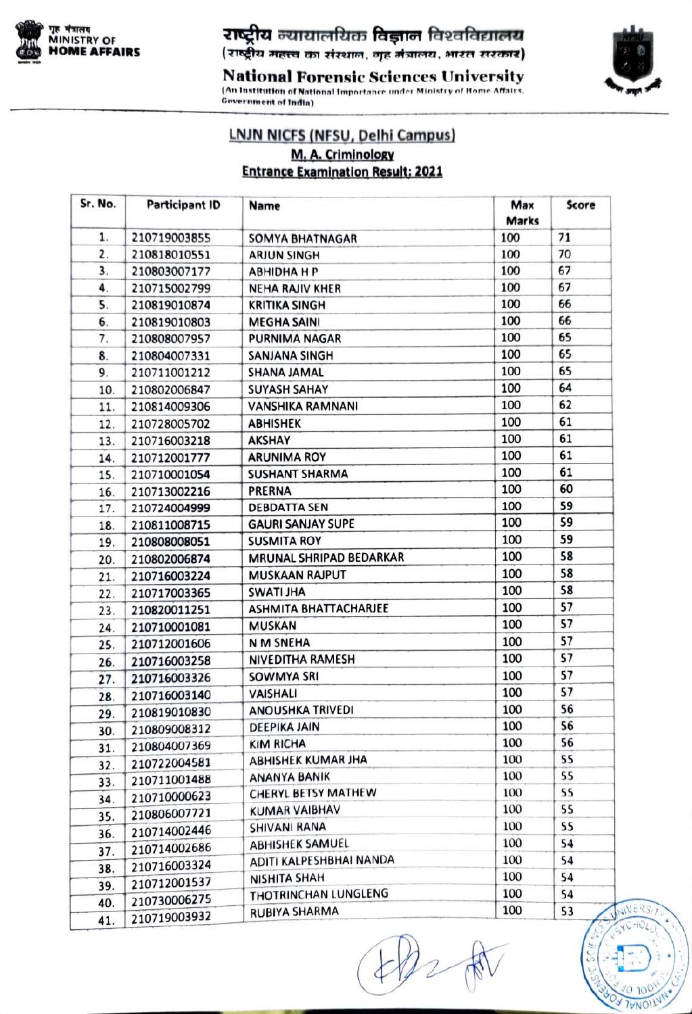

राष्ट्रीय न्यायालयिक विज्ञान विश्वविद्यालय (राष्ट्रीय महत्त्व का संस्थान, गृह मंत्रालय, भारत सरकार)

**SYCHOL** 

 $700^{\circ}$  $7VNC$ 

National Forensic Sciences University An Institution of National Importance under Ministry of Home Affairs. Government of Indin)

## LNJN NICFS (NFSU, Delhi Campus)<br>M.A.Criminology **Entrance Examination Result: 2021**

| Sr. No. | <b>Participant ID</b> | Name                         | Max<br><b>Marks</b> | Score |
|---------|-----------------------|------------------------------|---------------------|-------|
| 1.      | 210719003855          | <b>SOMYA BHATNAGAR</b>       | 100                 | 71    |
| 2.      | 210818010551          | <b>ARJUN SINGH</b>           | 100                 | 70    |
| 3.      | 210803007177          | <b>ABHIDHA H P</b>           | 100                 | 67    |
| 4.      | 210715002799          | <b>NEHA RAJIV KHER</b>       | 100                 | 67    |
| 5.      | 210819010874          | <b>KRITIKA SINGH</b>         | 100                 | 66    |
| 6.      | 210819010803          | <b>MEGHA SAINI</b>           | 100                 | 66    |
| 7.      | 210808007957          | <b>PURNIMA NAGAR</b>         | 100                 | 65    |
| 8.      | 210804007331          | SANJANA SINGH                | 100                 | 65    |
| 9.      | 210711001212          | SHANA JAMAL                  | 100                 | 65    |
| 10.     | 210802006847          | <b>SUYASH SAHAY</b>          | 100                 | 64    |
| 11.     | 210814009306          | <b>VANSHIKA RAMNANI</b>      | 100                 | 62    |
| 12.     | 210728005702          | <b>ABHISHEK</b>              | 100                 | 61    |
| 13.     | 210716003218          | <b>AKSHAY</b>                | 100                 | 61    |
| 14.     | 210712001777          | <b>ARUNIMA ROY</b>           | 100                 | 61    |
| 15.     | 210710001054          | <b>SUSHANT SHARMA</b>        | 100                 | 61    |
| 16.     | 210713002216          | PRERNA                       | 100                 | 60    |
| 17.     | 210724004999          | <b>DEBDATTA SEN</b>          | 100                 | 59    |
| 18.     | 210811008715          | <b>GAURI SANJAY SUPE</b>     | 100                 | 59    |
| 19.     | 210808008051          | <b>SUSMITA ROY</b>           | 100                 | 59    |
| 20.     | 210802006874          | MRUNAL SHRIPAD BEDARKAR      | 100                 | 58    |
| 21.     | 210716003224          | <b>MUSKAAN RAJPUT</b>        | 100                 | 58    |
| 22.     | 210717003365          | <b>SWATI JHA</b>             | 100                 | 58    |
| 23.     | 210820011251          | <b>ASHMITA BHATTACHARJEE</b> | 100                 | 57    |
| 24.     | 210710001081          | <b>MUSKAN</b>                | 100                 | 57    |
| 25.     | 210712001606          | N M SNEHA                    | 100                 | 57    |
| 26.     | 210716003258          | NIVEDITHA RAMESH             | 100                 | 57    |
| 27.     | 210716003326          | <b>SOWMYA SRI</b>            | 100                 | 57    |
| 28.     | 210716003140          | <b>VAISHALI</b>              | 100                 | 57    |
| 29.     | 210819010830          | <b>ANOUSHKA TRIVEDI</b>      | 100                 | 56    |
| 30.     | 210809008312          | <b>DEEPIKA JAIN</b>          | 100                 | 56    |
| 31.     | 210804007369          | KIM RICHA                    | 100                 | 56    |
| 32.     | 210722004581          | <b>ABHISHEK KUMAR JHA</b>    | 100                 | 55    |
| 33.     | 210711001488          | ANANYA BANIK                 | 100                 | 55    |
| 34.     | 210710000623          | <b>CHERYL BETSY MATHEW</b>   | 100                 | 55    |
| 35.     | 210806007721          | <b>KUMAR VAIBHAV</b>         | 100                 | 55    |
| 36.     | 210714002446          | <b>SHIVANI RANA</b>          | 100                 | 55    |
| 37.     | 210714002686          | <b>ABHISHEK SAMUEL</b>       | 100                 | 54    |
| 38.     | 210716003324          | ADITI KALPESHBHAI NANDA      | 100                 | 54    |
| 39.     | 210712001537          | NISHITA SHAH                 | 100                 | 54    |
| 40.     | 210730006275          | THOTRINCHAN LUNGLENG         | 100                 | 54    |
| 41.     | 210719003932          | <b>RUBIYA SHARMA</b>         | 100                 | 53    |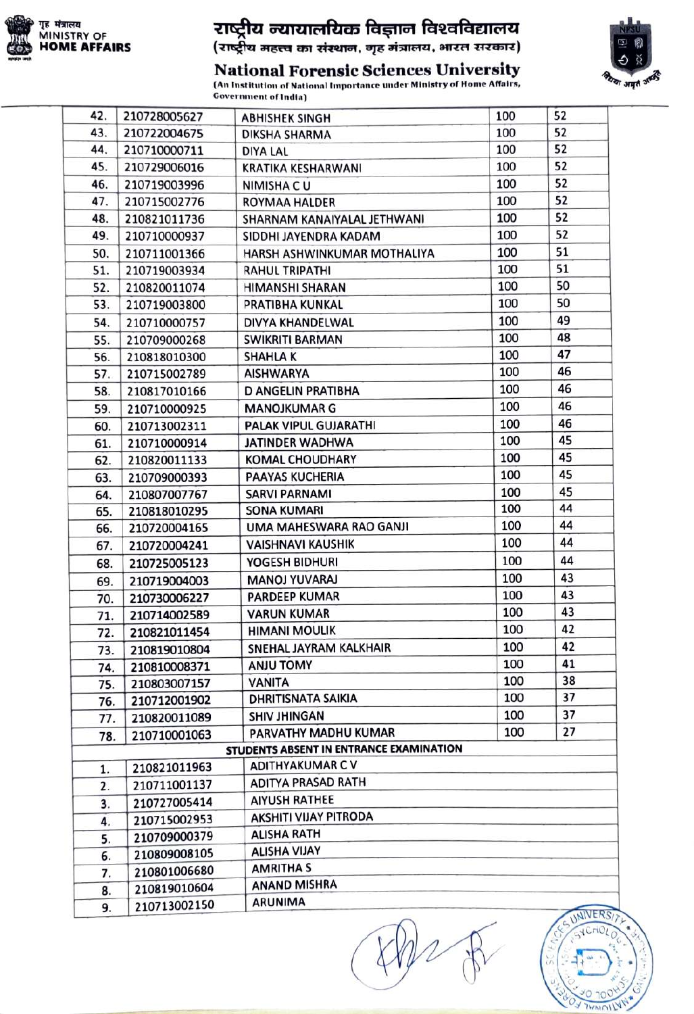

## राष्ट्रीय न्यायालयिक विज्ञान विश्वविद्यालय<br>(राष्ट्रीय महत्त्व का संस्थान, गृह मंत्रालय, भारत सरकार)



National Forensic Sciences University **AN INSTITUTION IS OCCLETED OF THE ORDER STATES (An Institution of National Importance under Ministry of Home Affairs,**<br>Government of India)

| 42. | 210728005627        | <b>ABHISHEK SINGH</b>                   | 100 | 52            |
|-----|---------------------|-----------------------------------------|-----|---------------|
| 43. | 210722004675        | DIKSHA SHARMA                           | 100 | 52            |
| 44. | 210710000711        | DIYA LAL                                | 100 | 52            |
| 45. | 210729006016        | <b>KRATIKA KESHARWANI</b>               | 100 | 52            |
| 46. | 210719003996        | <b>NIMISHA CU</b>                       | 100 | 52            |
| 47. | 210715002776        | ROYMAA HALDER                           | 100 | 52            |
| 48. | 210821011736        | SHARNAM KANAIYALAL JETHWANI             | 100 | 52            |
| 49. | 210710000937        | SIDDHI JAYENDRA KADAM                   | 100 | 52            |
| 50. | 210711001366        | HARSH ASHWINKUMAR MOTHALIYA             | 100 | 51            |
| 51. | 210719003934        | <b>RAHUL TRIPATHI</b>                   | 100 | 51            |
| 52. | 210820011074        | HIMANSHI SHARAN                         | 100 | 50            |
| 53. | 210719003800        | PRATIBHA KUNKAL                         | 100 | 50            |
| 54. | 210710000757        | DIVYA KHANDELWAL                        | 100 | 49            |
| 55. | 210709000268        | <b>SWIKRITI BARMAN</b>                  | 100 | 48            |
| 56. | 210818010300        | <b>SHAHLAK</b>                          | 100 | 47            |
| 57. | 210715002789        | <b>AISHWARYA</b>                        | 100 | 46            |
| 58. | 210817010166        | D ANGELIN PRATIBHA                      | 100 | 46            |
| 59. | 210710000925        | <b>MANOJKUMAR G</b>                     | 100 | 46            |
| 60. | 210713002311        | PALAK VIPUL GUJARATHI                   | 100 | 46            |
| 61. | 210710000914        | <b>JATINDER WADHWA</b>                  | 100 | 45            |
| 62. | 210820011133        | <b>KOMAL CHOUDHARY</b>                  | 100 | 45            |
| 63. | 210709000393        | PAAYAS KUCHERIA                         | 100 | 45            |
| 64. | 210807007767        | <b>SARVI PARNAMI</b>                    | 100 | 45            |
| 65. | 210818010295        | <b>SONA KUMARI</b>                      | 100 | 44            |
| 66. | 210720004165        | UMA MAHESWARA RAO GANJI                 | 100 | 44            |
| 67. | 210720004241        | <b>VAISHNAVI KAUSHIK</b>                | 100 | 44            |
| 68. | 210725005123        | YOGESH BIDHURI                          | 100 | 44            |
| 69. | 210719004003        | <b>MANOJ YUVARAJ</b>                    | 100 | 43            |
| 70. | 210730006227        | <b>PARDEEP KUMAR</b>                    | 100 | 43            |
| 71. | 210714002589        | <b>VARUN KUMAR</b>                      | 100 | 43            |
| 72. | 210821011454        | <b>HIMANI MOULIK</b>                    | 100 | 42            |
|     | 210819010804<br>73. | SNEHAL JAYRAM KALKHAIR                  | 100 | 42            |
|     | 210810008371<br>74. | <b>ANJU TOMY</b>                        | 100 | 41            |
|     | 210803007157<br>75. | <b>VANITA</b>                           | 100 | 38            |
|     | 210712001902<br>76. | <b>DHRITISNATA SAIKIA</b>               | 100 | 37            |
|     | 210820011089<br>77. | <b>SHIV JHINGAN</b>                     | 100 | 37            |
|     | 210710001063<br>78. | PARVATHY MADHU KUMAR                    | 100 | 27            |
|     |                     | STUDENTS ABSENT IN ENTRANCE EXAMINATION |     |               |
| 1.  | 210821011963        | <b>ADITHYAKUMAR CV</b>                  |     |               |
| 2.  | 210711001137        | <b>ADITYA PRASAD RATH</b>               |     |               |
|     | 210727005414<br>3.  | <b>AIYUSH RATHEE</b>                    |     |               |
|     | 210715002953<br>4.  | AKSHITI VIJAY PITRODA                   |     |               |
|     | 210709000379<br>5.  | <b>ALISHA RATH</b>                      |     |               |
|     | 210809008105<br>6.  | <b>ALISHA VIJAY</b>                     |     |               |
|     | 210801006680<br>7.  | <b>AMRITHA S</b>                        |     |               |
|     | 210819010604<br>8.  | <b>ANAND MISHRA</b>                     |     |               |
|     | 210713002150<br>9.  | <b>ARUNIMA</b>                          |     | <b>CONFRO</b> |
|     |                     |                                         |     |               |